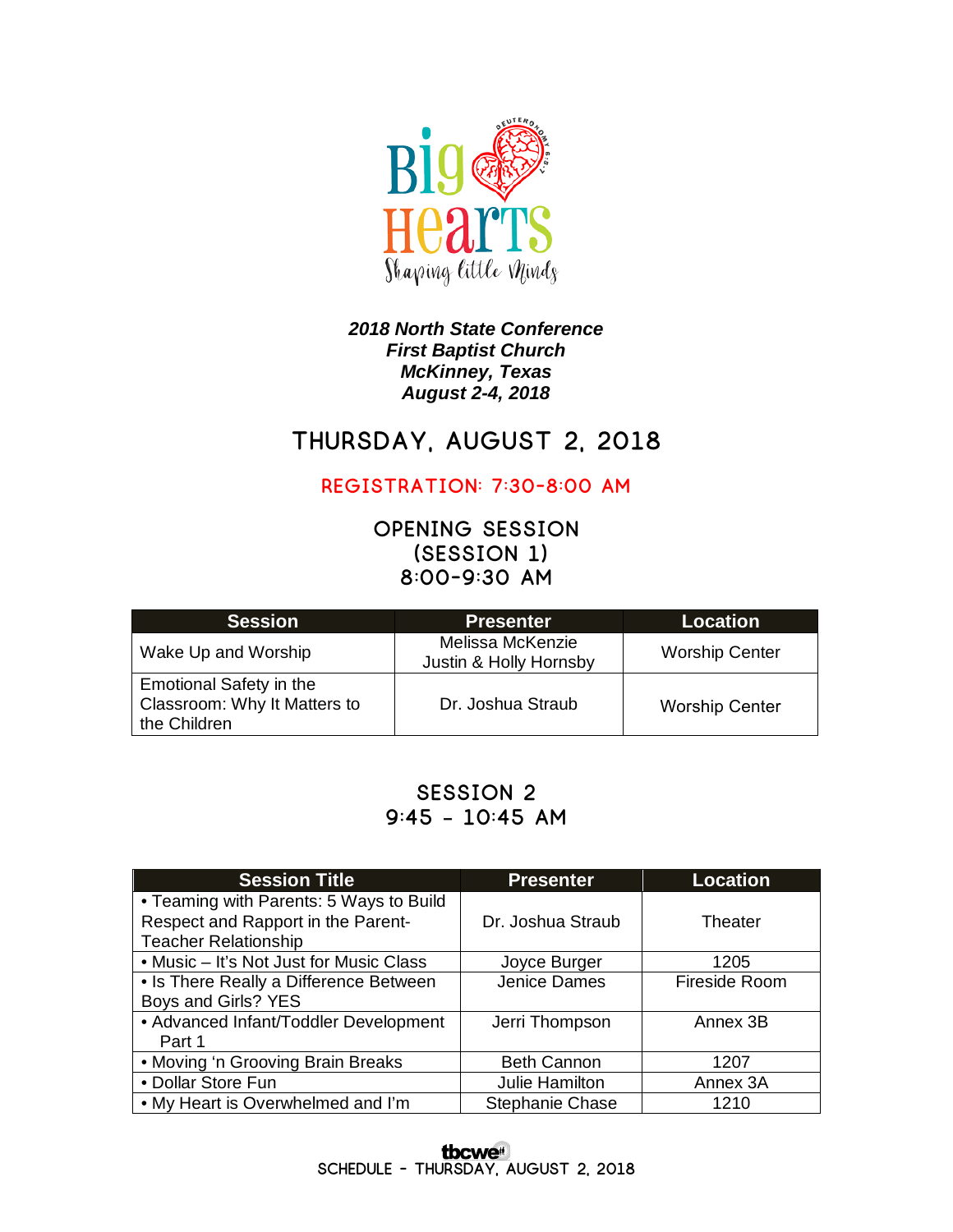

#### *2018 North State Conference First Baptist Church McKinney, Texas August 2-4, 2018*

# **Thursday, August 2, 2018**

**Registration: 7:30-8:00 am**

**Opening Session (Session 1) 8:00-9:30 am**

| <b>Session</b>                                                                 | <b>Presenter</b>                           | Location              |
|--------------------------------------------------------------------------------|--------------------------------------------|-----------------------|
| Wake Up and Worship                                                            | Melissa McKenzie<br>Justin & Holly Hornsby | <b>Worship Center</b> |
| <b>Emotional Safety in the</b><br>Classroom: Why It Matters to<br>the Children | Dr. Joshua Straub                          | <b>Worship Center</b> |

## **Session 2 9:45 – 10:45 am**

| <b>Session Title</b>                    | <b>Presenter</b>       | <b>Location</b> |
|-----------------------------------------|------------------------|-----------------|
| • Teaming with Parents: 5 Ways to Build |                        |                 |
| Respect and Rapport in the Parent-      | Dr. Joshua Straub      | Theater         |
| <b>Teacher Relationship</b>             |                        |                 |
| • Music – It's Not Just for Music Class | Joyce Burger           | 1205            |
| • Is There Really a Difference Between  | Jenice Dames           | Fireside Room   |
| Boys and Girls? YES                     |                        |                 |
| • Advanced Infant/Toddler Development   | Jerri Thompson         | Annex 3B        |
| Part 1                                  |                        |                 |
| • Moving 'n Grooving Brain Breaks       | <b>Beth Cannon</b>     | 1207            |
| • Dollar Store Fun                      | Julie Hamilton         | Annex 3A        |
| • My Heart is Overwhelmed and I'm       | <b>Stephanie Chase</b> | 1210            |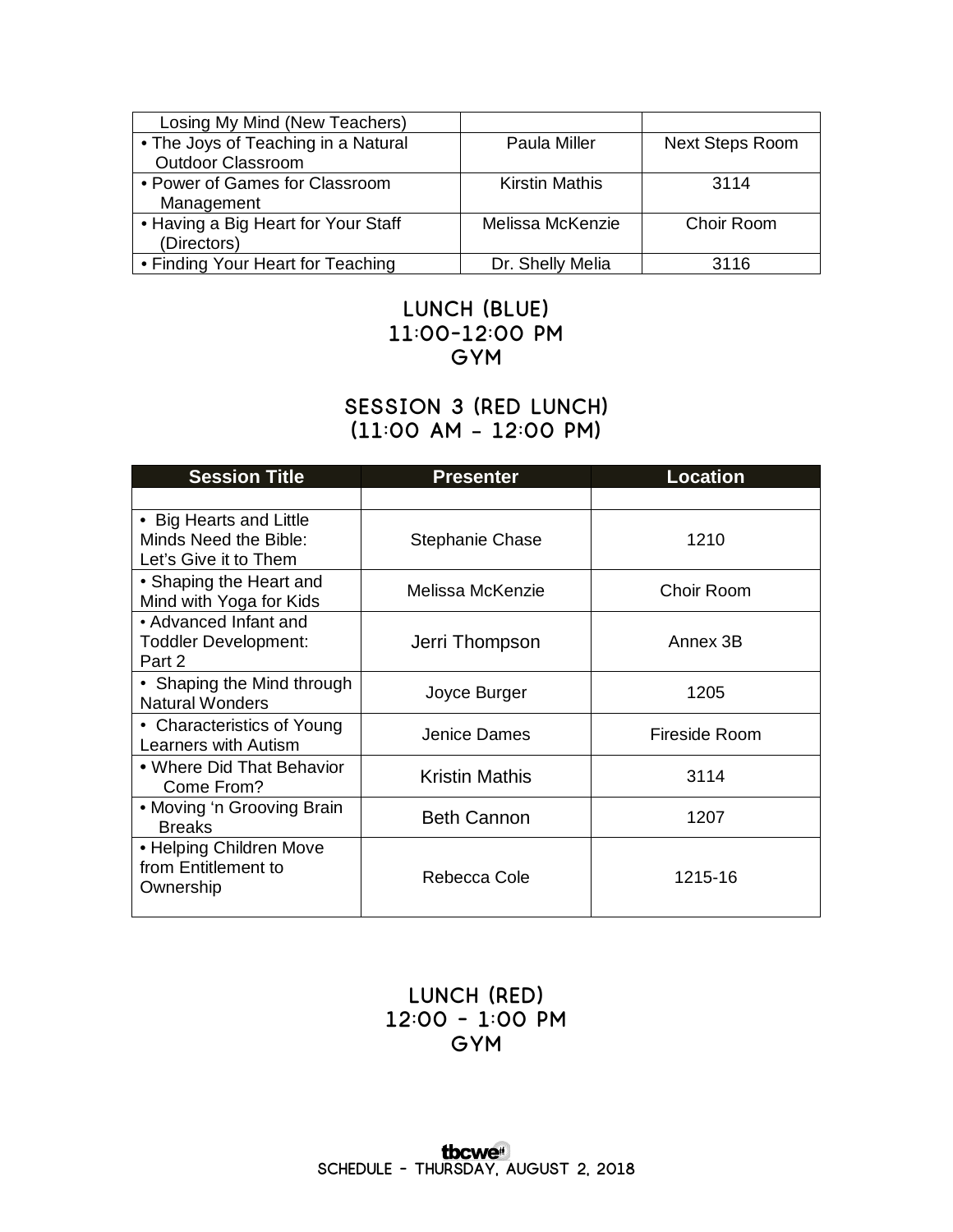| Losing My Mind (New Teachers)       |                       |                        |
|-------------------------------------|-----------------------|------------------------|
| • The Joys of Teaching in a Natural | Paula Miller          | <b>Next Steps Room</b> |
| <b>Outdoor Classroom</b>            |                       |                        |
| • Power of Games for Classroom      | <b>Kirstin Mathis</b> | 3114                   |
| Management                          |                       |                        |
| • Having a Big Heart for Your Staff | Melissa McKenzie      | Choir Room             |
| (Directors)                         |                       |                        |
| • Finding Your Heart for Teaching   | Dr. Shelly Melia      | 3116                   |

## **Lunch (Blue) 11:00-12:00 pm Gym**

## **Session 3 (Red Lunch) (11:00 am – 12:00 pm)**

| <b>Session Title</b>                                                      | <b>Presenter</b>      | <b>Location</b> |
|---------------------------------------------------------------------------|-----------------------|-----------------|
|                                                                           |                       |                 |
| • Big Hearts and Little<br>Minds Need the Bible:<br>Let's Give it to Them | Stephanie Chase       | 1210            |
| • Shaping the Heart and<br>Mind with Yoga for Kids                        | Melissa McKenzie      | Choir Room      |
| • Advanced Infant and<br><b>Toddler Development:</b><br>Part 2            | Jerri Thompson        | Annex 3B        |
| • Shaping the Mind through<br><b>Natural Wonders</b>                      | Joyce Burger          | 1205            |
| • Characteristics of Young<br>Learners with Autism                        | Jenice Dames          | Fireside Room   |
| • Where Did That Behavior<br>Come From?                                   | <b>Kristin Mathis</b> | 3114            |
| • Moving 'n Grooving Brain<br><b>Breaks</b>                               | <b>Beth Cannon</b>    | 1207            |
| • Helping Children Move<br>from Entitlement to<br>Ownership               | Rebecca Cole          | 1215-16         |

## **LUNCH (Red) 12:00 - 1:00 pm Gym**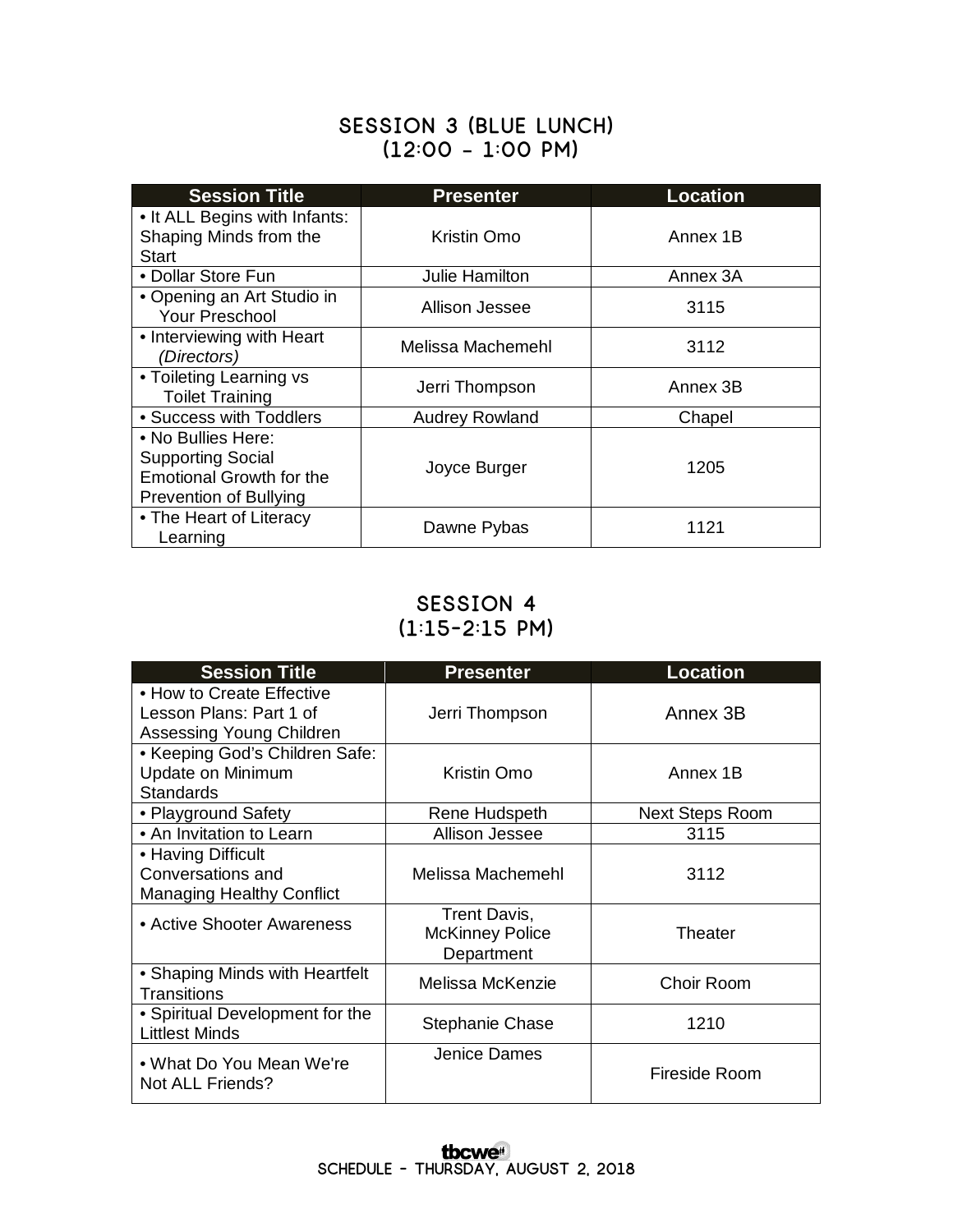### **Session 3 (Blue Lunch) (12:00 – 1:00 pm)**

| <b>Session Title</b>                                                                                        | <b>Presenter</b>      | <b>Location</b> |
|-------------------------------------------------------------------------------------------------------------|-----------------------|-----------------|
| • It ALL Begins with Infants:<br>Shaping Minds from the<br><b>Start</b>                                     | Kristin Omo           | Annex 1B        |
| • Dollar Store Fun                                                                                          | Julie Hamilton        | Annex 3A        |
| • Opening an Art Studio in<br>Your Preschool                                                                | Allison Jessee        | 3115            |
| • Interviewing with Heart<br>(Directors)                                                                    | Melissa Machemehl     | 3112            |
| • Toileting Learning vs<br><b>Toilet Training</b>                                                           | Jerri Thompson        | Annex 3B        |
| • Success with Toddlers                                                                                     | <b>Audrey Rowland</b> | Chapel          |
| • No Bullies Here:<br><b>Supporting Social</b><br><b>Emotional Growth for the</b><br>Prevention of Bullying | Joyce Burger          | 1205            |
| • The Heart of Literacy<br>Learning                                                                         | Dawne Pybas           | 1121            |

## **Session 4 (1:15-2:15 pm)**

| <b>Session Title</b>                                                             | <b>Presenter</b>                                     | <b>Location</b>        |
|----------------------------------------------------------------------------------|------------------------------------------------------|------------------------|
| • How to Create Effective<br>Lesson Plans: Part 1 of<br>Assessing Young Children | Jerri Thompson                                       | Annex 3B               |
| • Keeping God's Children Safe:<br>Update on Minimum<br><b>Standards</b>          | Kristin Omo                                          | Annex 1B               |
| • Playground Safety                                                              | Rene Hudspeth                                        | <b>Next Steps Room</b> |
| • An Invitation to Learn                                                         | Allison Jessee                                       | 3115                   |
| • Having Difficult<br>Conversations and<br><b>Managing Healthy Conflict</b>      | Melissa Machemehl                                    | 3112                   |
| • Active Shooter Awareness                                                       | Trent Davis,<br><b>McKinney Police</b><br>Department | Theater                |
| • Shaping Minds with Heartfelt<br><b>Transitions</b>                             | Melissa McKenzie                                     | Choir Room             |
| • Spiritual Development for the<br><b>Littlest Minds</b>                         | Stephanie Chase                                      | 1210                   |
| • What Do You Mean We're<br>Not ALL Friends?                                     | Jenice Dames                                         | Fireside Room          |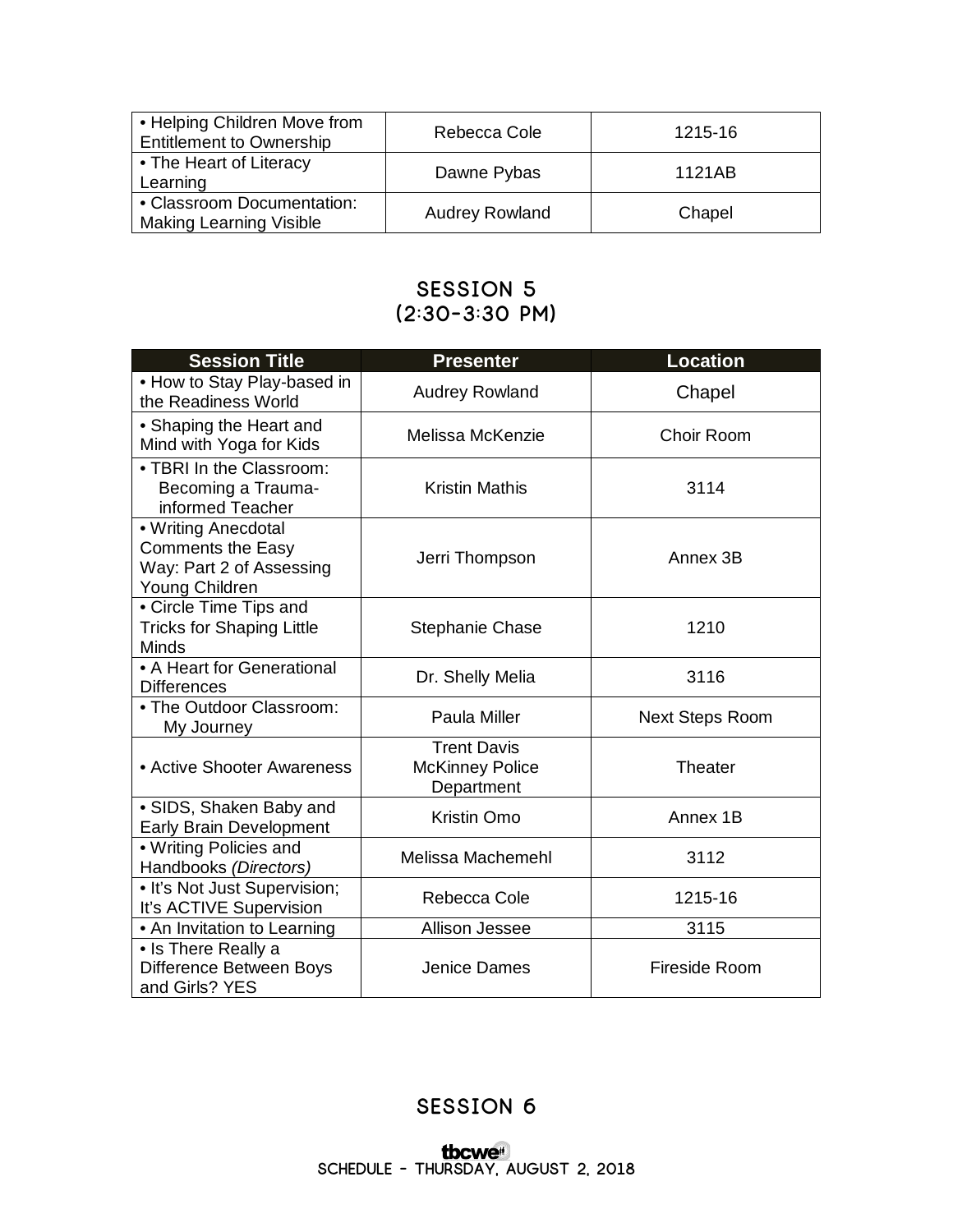| • Helping Children Move from<br><b>Entitlement to Ownership</b> | Rebecca Cole          | 1215-16 |
|-----------------------------------------------------------------|-----------------------|---------|
| • The Heart of Literacy<br>Learning                             | Dawne Pybas           | 1121AB  |
| • Classroom Documentation:<br><b>Making Learning Visible</b>    | <b>Audrey Rowland</b> | Chapel  |

## **Session 5 (2:30-3:30 pm)**

| <b>Session Title</b>                                                                          | <b>Presenter</b>                                           | <b>Location</b>        |
|-----------------------------------------------------------------------------------------------|------------------------------------------------------------|------------------------|
| . How to Stay Play-based in<br>the Readiness World                                            | <b>Audrey Rowland</b>                                      | Chapel                 |
| • Shaping the Heart and<br>Mind with Yoga for Kids                                            | Melissa McKenzie                                           | Choir Room             |
| • TBRI In the Classroom:<br>Becoming a Trauma-<br>informed Teacher                            | <b>Kristin Mathis</b>                                      | 3114                   |
| • Writing Anecdotal<br><b>Comments the Easy</b><br>Way: Part 2 of Assessing<br>Young Children | Jerri Thompson                                             | Annex 3B               |
| • Circle Time Tips and<br><b>Tricks for Shaping Little</b><br>Minds                           | <b>Stephanie Chase</b>                                     | 1210                   |
| • A Heart for Generational<br><b>Differences</b>                                              | Dr. Shelly Melia                                           | 3116                   |
| • The Outdoor Classroom:<br>My Journey                                                        | Paula Miller                                               | <b>Next Steps Room</b> |
| • Active Shooter Awareness                                                                    | <b>Trent Davis</b><br><b>McKinney Police</b><br>Department | <b>Theater</b>         |
| • SIDS, Shaken Baby and<br><b>Early Brain Development</b>                                     | Kristin Omo                                                | Annex 1B               |
| • Writing Policies and<br>Handbooks (Directors)                                               | Melissa Machemehl                                          | 3112                   |
| • It's Not Just Supervision;<br>It's ACTIVE Supervision                                       | Rebecca Cole                                               | 1215-16                |
| • An Invitation to Learning                                                                   | Allison Jessee                                             | 3115                   |
| • Is There Really a<br>Difference Between Boys<br>and Girls? YES                              | Jenice Dames                                               | Fireside Room          |

## **Session 6**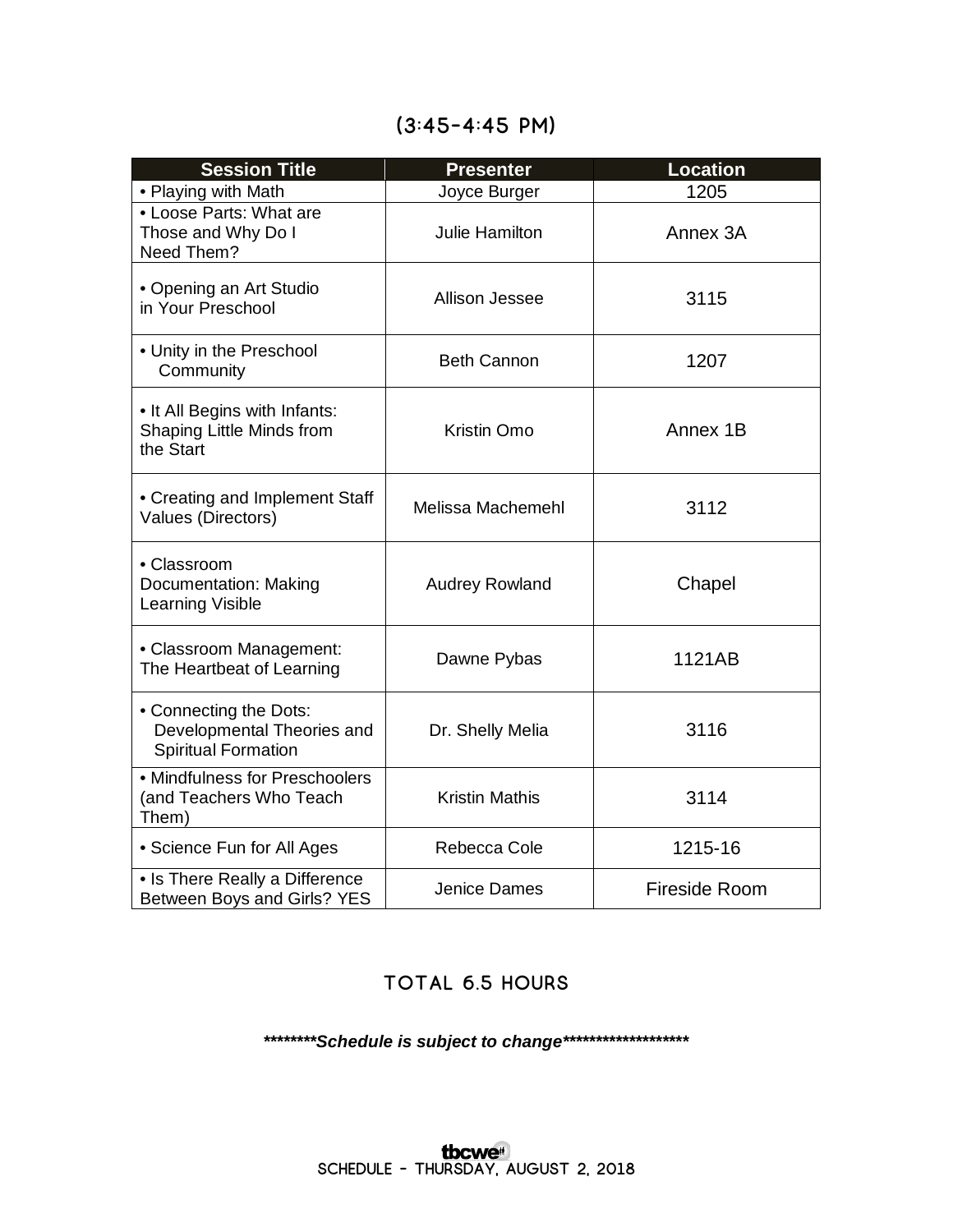| <b>Session Title</b>                                                               | <b>Presenter</b>      | <b>Location</b>      |
|------------------------------------------------------------------------------------|-----------------------|----------------------|
| • Playing with Math                                                                | Joyce Burger          | 1205                 |
| • Loose Parts: What are<br>Those and Why Do I<br>Need Them?                        | Julie Hamilton        | Annex 3A             |
| • Opening an Art Studio<br>in Your Preschool                                       | Allison Jessee        | 3115                 |
| • Unity in the Preschool<br>Community                                              | <b>Beth Cannon</b>    | 1207                 |
| • It All Begins with Infants:<br>Shaping Little Minds from<br>the Start            | Kristin Omo           | Annex 1B             |
| • Creating and Implement Staff<br>Values (Directors)                               | Melissa Machemehl     | 3112                 |
| • Classroom<br>Documentation: Making<br>Learning Visible                           | <b>Audrey Rowland</b> | Chapel               |
| • Classroom Management:<br>The Heartbeat of Learning                               | Dawne Pybas           | 1121AB               |
| • Connecting the Dots:<br>Developmental Theories and<br><b>Spiritual Formation</b> | Dr. Shelly Melia      | 3116                 |
| • Mindfulness for Preschoolers<br>(and Teachers Who Teach<br>Them)                 | <b>Kristin Mathis</b> | 3114                 |
| • Science Fun for All Ages                                                         | Rebecca Cole          | 1215-16              |
| • Is There Really a Difference<br>Between Boys and Girls? YES                      | <b>Jenice Dames</b>   | <b>Fireside Room</b> |

## **(3:45-4:45 pm)**

## **Total 6.5 hours**

*\*\*\*\*\*\*\*\*Schedule is subject to change\*\*\*\*\*\*\*\*\*\*\*\*\*\*\*\*\*\*\**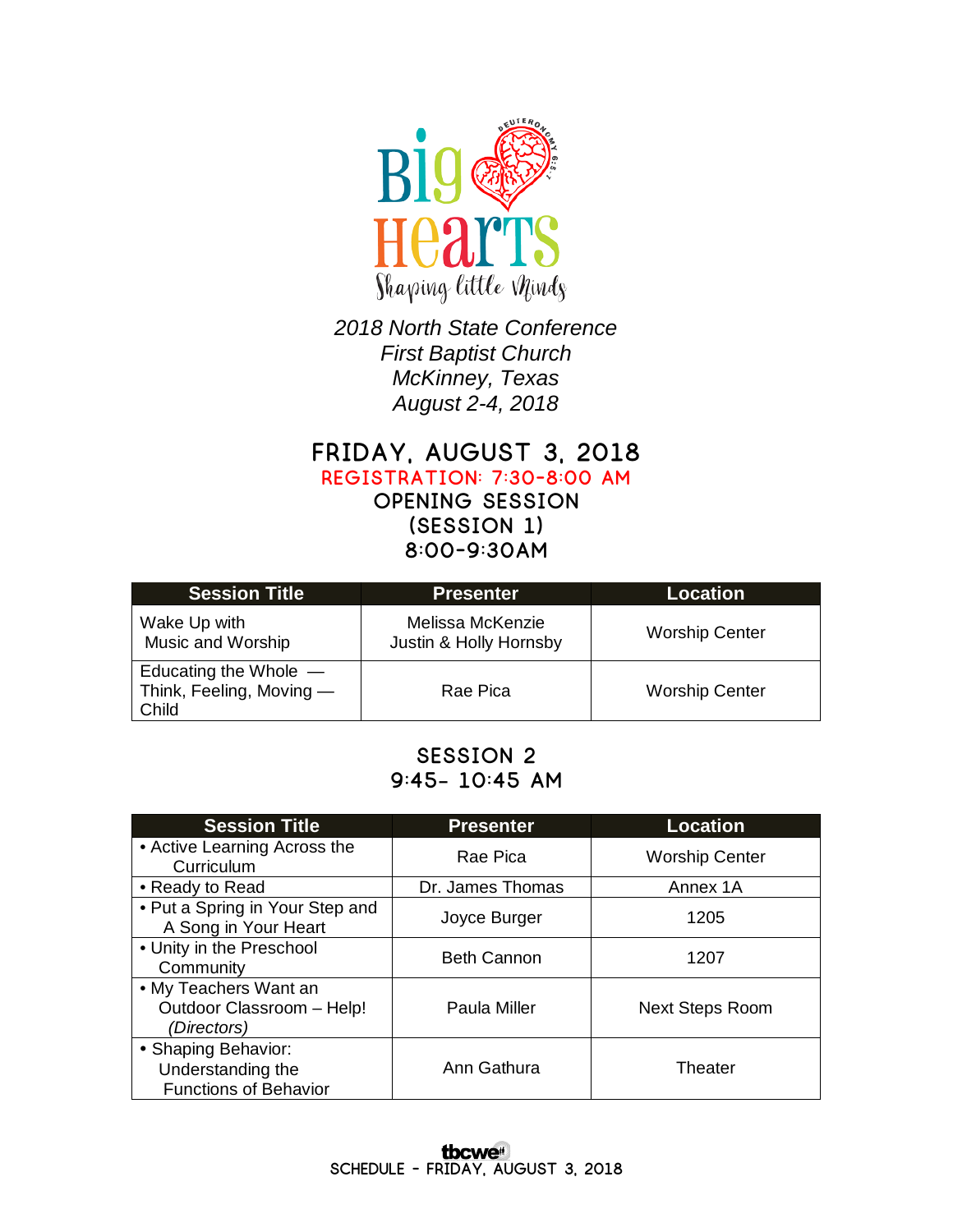

*2018 North State Conference First Baptist Church McKinney, Texas August 2-4, 2018*

**Friday, August 3, 2018**

**Registration: 7:30-8:00 am**

**Opening Session (Session 1) 8:00-9:30am**

| <b>Session Title</b>                                         | Presenter                                  | <b>Location</b>       |
|--------------------------------------------------------------|--------------------------------------------|-----------------------|
| Wake Up with<br>Music and Worship                            | Melissa McKenzie<br>Justin & Holly Hornsby | <b>Worship Center</b> |
| Educating the Whole $-$<br>Think, Feeling, Moving -<br>Child | Rae Pica                                   | <b>Worship Center</b> |

## **Session 2 9:45– 10:45 am**

| <b>Session Title</b>                                                     | <b>Presenter</b>   | Location               |
|--------------------------------------------------------------------------|--------------------|------------------------|
| • Active Learning Across the<br>Curriculum                               | Rae Pica           | <b>Worship Center</b>  |
| • Ready to Read                                                          | Dr. James Thomas   | Annex 1A               |
| • Put a Spring in Your Step and<br>A Song in Your Heart                  | Joyce Burger       | 1205                   |
| • Unity in the Preschool<br>Community                                    | <b>Beth Cannon</b> | 1207                   |
| • My Teachers Want an<br>Outdoor Classroom - Help!<br>(Directors)        | Paula Miller       | <b>Next Steps Room</b> |
| • Shaping Behavior:<br>Understanding the<br><b>Functions of Behavior</b> | Ann Gathura        | Theater                |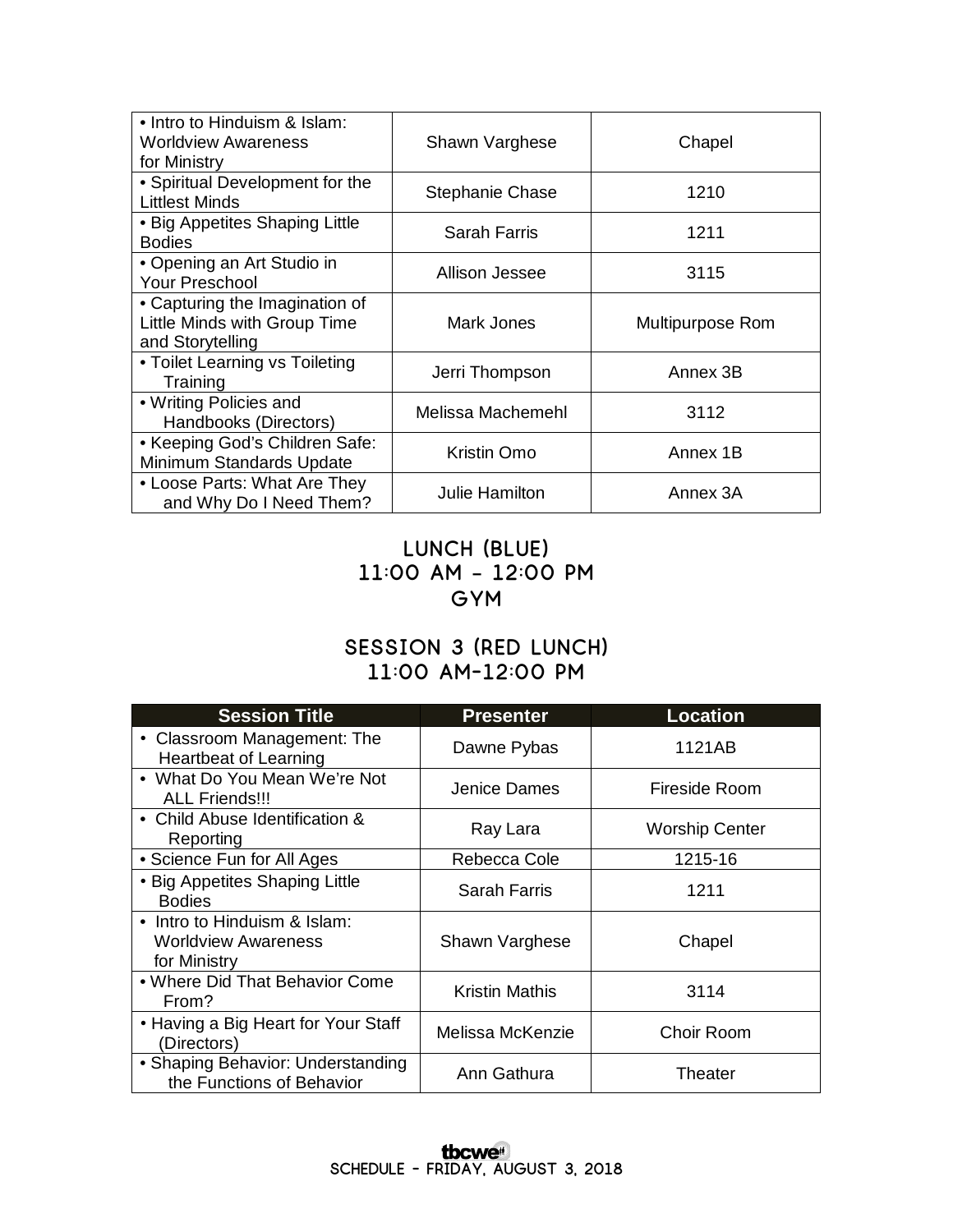| • Intro to Hinduism & Islam:<br><b>Worldview Awareness</b><br>for Ministry         | Shawn Varghese         | Chapel           |
|------------------------------------------------------------------------------------|------------------------|------------------|
| • Spiritual Development for the<br><b>Littlest Minds</b>                           | <b>Stephanie Chase</b> | 1210             |
| • Big Appetites Shaping Little<br><b>Bodies</b>                                    | <b>Sarah Farris</b>    | 1211             |
| • Opening an Art Studio in<br><b>Your Preschool</b>                                | Allison Jessee         | 3115             |
| • Capturing the Imagination of<br>Little Minds with Group Time<br>and Storytelling | Mark Jones             | Multipurpose Rom |
| • Toilet Learning vs Toileting<br>Training                                         | Jerri Thompson         | Annex 3B         |
| • Writing Policies and<br>Handbooks (Directors)                                    | Melissa Machemehl      | 3112             |
| • Keeping God's Children Safe:<br>Minimum Standards Update                         | Kristin Omo            | Annex 1B         |
| • Loose Parts: What Are They<br>and Why Do I Need Them?                            | <b>Julie Hamilton</b>  | Annex 3A         |

## **Lunch (Blue) 11:00 am – 12:00 pm GYM**

## **Session 3 (Red Lunch) 11:00 am-12:00 pm**

| <b>Session Title</b>                                                       | <b>Presenter</b>      | <b>Location</b>       |
|----------------------------------------------------------------------------|-----------------------|-----------------------|
| • Classroom Management: The<br><b>Heartbeat of Learning</b>                | Dawne Pybas           | 1121AB                |
| • What Do You Mean We're Not<br><b>ALL Friends!!!</b>                      | Jenice Dames          | Fireside Room         |
| • Child Abuse Identification &<br>Reporting                                | Ray Lara              | <b>Worship Center</b> |
| • Science Fun for All Ages                                                 | Rebecca Cole          | 1215-16               |
| • Big Appetites Shaping Little<br><b>Bodies</b>                            | Sarah Farris          | 1211                  |
| • Intro to Hinduism & Islam:<br><b>Worldview Awareness</b><br>for Ministry | Shawn Varghese        | Chapel                |
| . Where Did That Behavior Come<br>From?                                    | <b>Kristin Mathis</b> | 3114                  |
| • Having a Big Heart for Your Staff<br>(Directors)                         | Melissa McKenzie      | Choir Room            |
| • Shaping Behavior: Understanding<br>the Functions of Behavior             | Ann Gathura           | Theater               |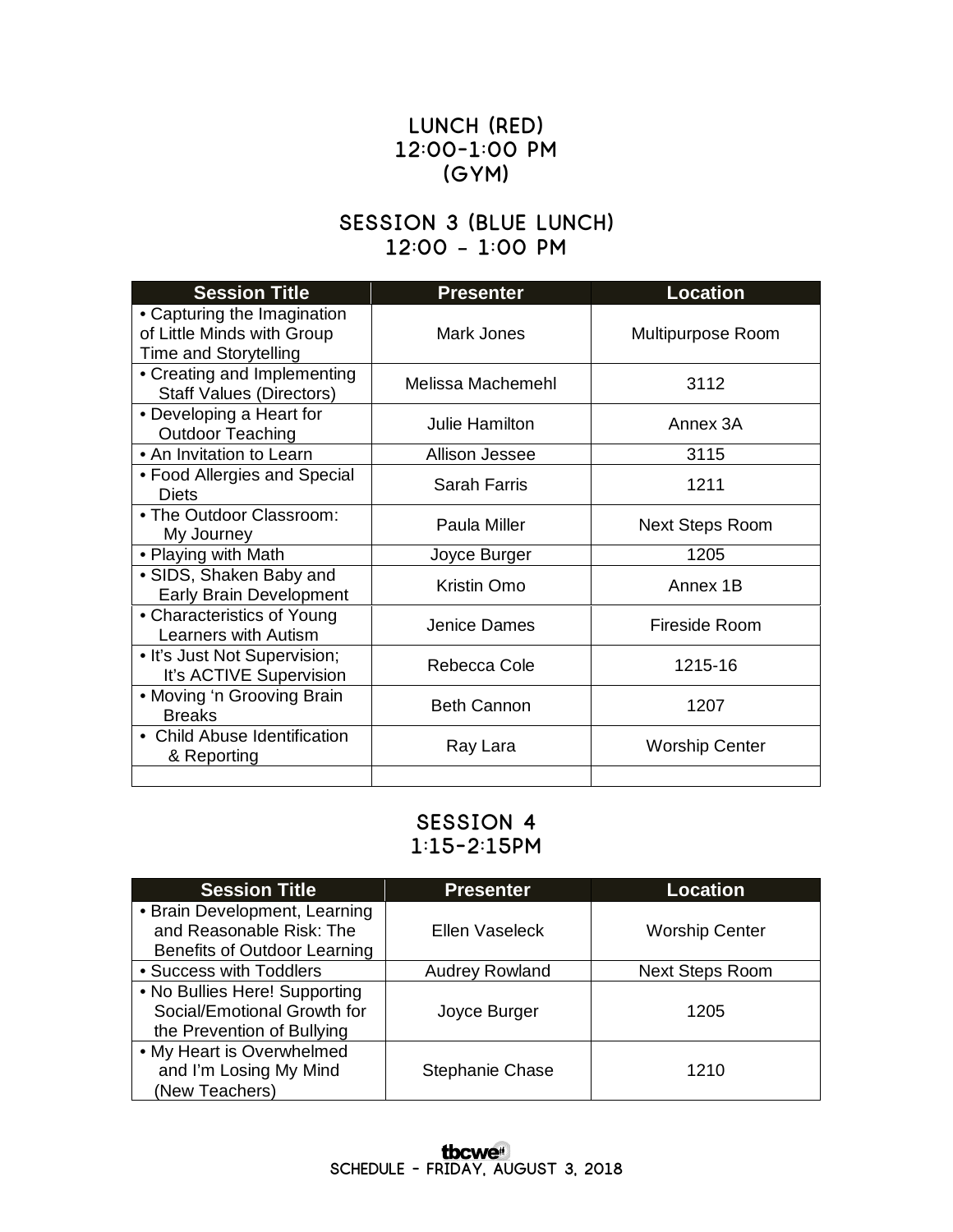## **Lunch (Red) 12:00-1:00 pm (Gym)**

#### **Session 3 (Blue Lunch) 12:00 – 1:00 pm**

| <b>Session Title</b>                                                               | <b>Presenter</b>   | <b>Location</b>        |
|------------------------------------------------------------------------------------|--------------------|------------------------|
| • Capturing the Imagination<br>of Little Minds with Group<br>Time and Storytelling | Mark Jones         | Multipurpose Room      |
| • Creating and Implementing<br><b>Staff Values (Directors)</b>                     | Melissa Machemehl  | 3112                   |
| • Developing a Heart for<br><b>Outdoor Teaching</b>                                | Julie Hamilton     | Annex 3A               |
| • An Invitation to Learn                                                           | Allison Jessee     | 3115                   |
| • Food Allergies and Special<br>Diets                                              | Sarah Farris       | 1211                   |
| • The Outdoor Classroom:<br>My Journey                                             | Paula Miller       | <b>Next Steps Room</b> |
| • Playing with Math                                                                | Joyce Burger       | 1205                   |
| • SIDS, Shaken Baby and<br><b>Early Brain Development</b>                          | Kristin Omo        | Annex 1B               |
| • Characteristics of Young<br>Learners with Autism                                 | Jenice Dames       | Fireside Room          |
| • It's Just Not Supervision;<br>It's ACTIVE Supervision                            | Rebecca Cole       | 1215-16                |
| • Moving 'n Grooving Brain<br><b>Breaks</b>                                        | <b>Beth Cannon</b> | 1207                   |
| • Child Abuse Identification<br>& Reporting                                        | Ray Lara           | <b>Worship Center</b>  |
|                                                                                    |                    |                        |

#### **Session 4 1:15-2:15pm**

| <b>Session Title</b>          | <b>Presenter</b>       | <b>Location</b>        |
|-------------------------------|------------------------|------------------------|
| • Brain Development, Learning |                        |                        |
| and Reasonable Risk: The      | Ellen Vaseleck         | <b>Worship Center</b>  |
| Benefits of Outdoor Learning  |                        |                        |
| • Success with Toddlers       | <b>Audrey Rowland</b>  | <b>Next Steps Room</b> |
| • No Bullies Here! Supporting |                        |                        |
| Social/Emotional Growth for   | Joyce Burger           | 1205                   |
| the Prevention of Bullying    |                        |                        |
| • My Heart is Overwhelmed     |                        |                        |
| and I'm Losing My Mind        | <b>Stephanie Chase</b> | 1210                   |
| (New Teachers)                |                        |                        |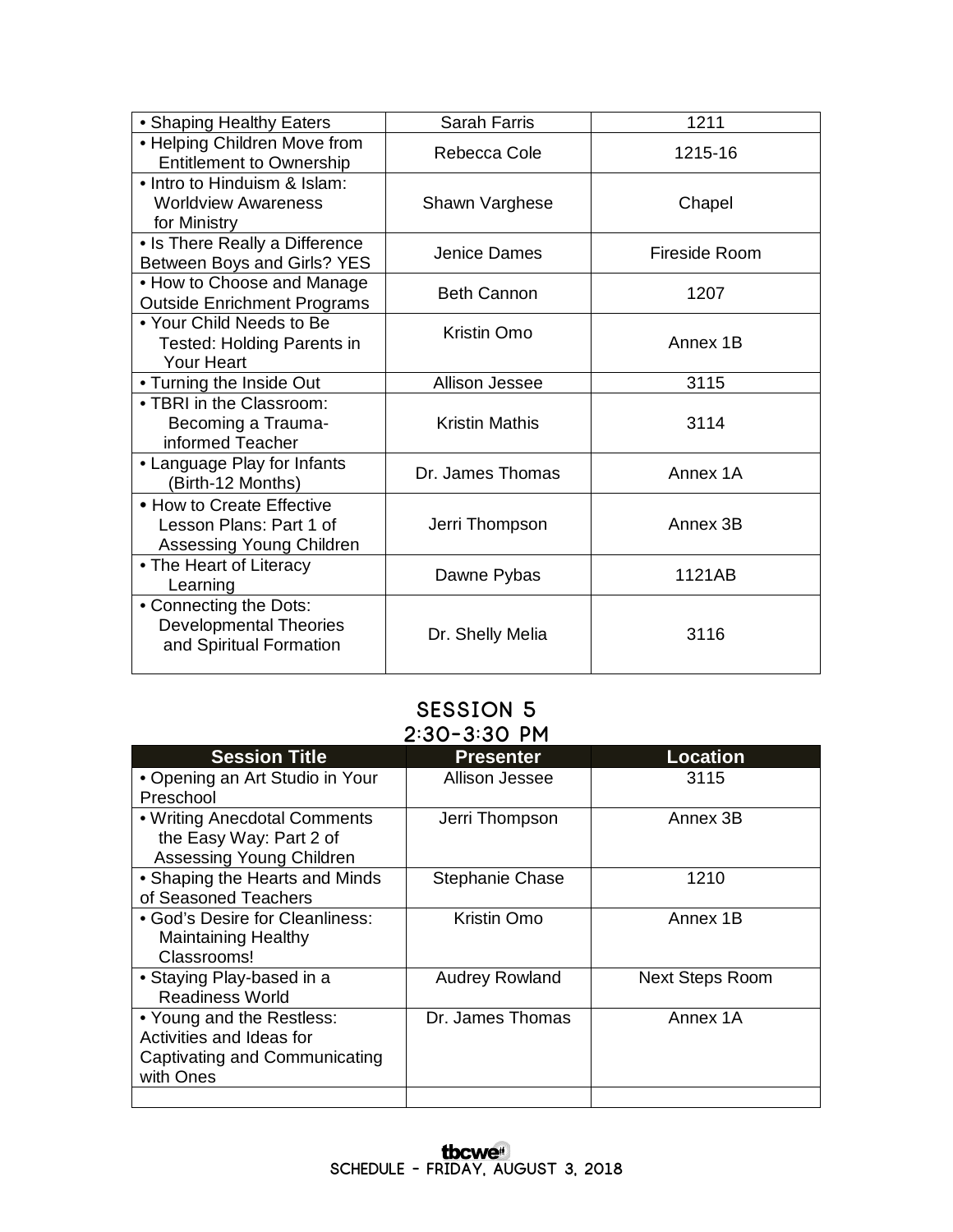| • Shaping Healthy Eaters                                                           | <b>Sarah Farris</b>   | 1211          |
|------------------------------------------------------------------------------------|-----------------------|---------------|
| • Helping Children Move from<br><b>Entitlement to Ownership</b>                    | Rebecca Cole          | 1215-16       |
| • Intro to Hinduism & Islam:<br><b>Worldview Awareness</b><br>for Ministry         | Shawn Varghese        | Chapel        |
| • Is There Really a Difference<br>Between Boys and Girls? YES                      | Jenice Dames          | Fireside Room |
| • How to Choose and Manage<br><b>Outside Enrichment Programs</b>                   | <b>Beth Cannon</b>    | 1207          |
| • Your Child Needs to Be<br><b>Tested: Holding Parents in</b><br><b>Your Heart</b> | Kristin Omo           | Annex 1B      |
| • Turning the Inside Out                                                           | <b>Allison Jessee</b> | 3115          |
| • TBRI in the Classroom:<br>Becoming a Trauma-<br>informed Teacher                 | <b>Kristin Mathis</b> | 3114          |
| • Language Play for Infants<br>(Birth-12 Months)                                   | Dr. James Thomas      | Annex 1A      |
| • How to Create Effective<br>Lesson Plans: Part 1 of<br>Assessing Young Children   | Jerri Thompson        | Annex 3B      |
| • The Heart of Literacy<br>Learning                                                | Dawne Pybas           | 1121AB        |
| • Connecting the Dots:<br><b>Developmental Theories</b><br>and Spiritual Formation | Dr. Shelly Melia      | 3116          |

#### **Session 5 2:30-3:30 pm**

| <b>Session Title</b>            | <b>Presenter</b>       | <b>Location</b>        |  |
|---------------------------------|------------------------|------------------------|--|
| • Opening an Art Studio in Your | Allison Jessee         | 3115                   |  |
| Preschool                       |                        |                        |  |
| • Writing Anecdotal Comments    | Jerri Thompson         | Annex 3B               |  |
| the Easy Way: Part 2 of         |                        |                        |  |
| Assessing Young Children        |                        |                        |  |
| • Shaping the Hearts and Minds  | <b>Stephanie Chase</b> | 1210                   |  |
| of Seasoned Teachers            |                        |                        |  |
| • God's Desire for Cleanliness: | Kristin Omo            | Annex 1B               |  |
| <b>Maintaining Healthy</b>      |                        |                        |  |
| Classrooms!                     |                        |                        |  |
| • Staying Play-based in a       | <b>Audrey Rowland</b>  | <b>Next Steps Room</b> |  |
| <b>Readiness World</b>          |                        |                        |  |
| • Young and the Restless:       | Dr. James Thomas       | Annex 1A               |  |
| Activities and Ideas for        |                        |                        |  |
| Captivating and Communicating   |                        |                        |  |
| with Ones                       |                        |                        |  |
|                                 |                        |                        |  |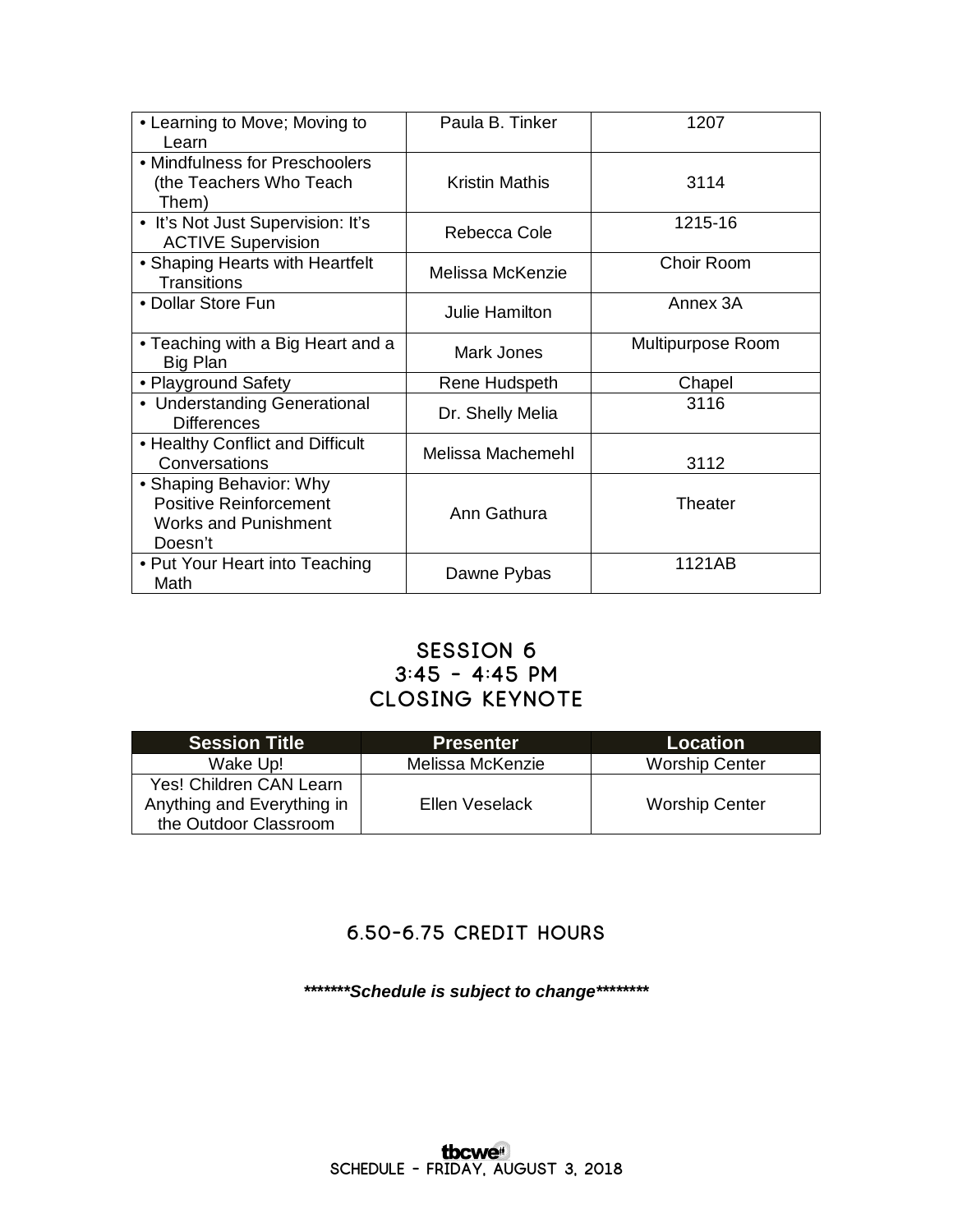| • Learning to Move; Moving to<br>Learn                                                             | Paula B. Tinker       | 1207              |
|----------------------------------------------------------------------------------------------------|-----------------------|-------------------|
| • Mindfulness for Preschoolers<br>(the Teachers Who Teach<br>Them)                                 | <b>Kristin Mathis</b> | 3114              |
| • It's Not Just Supervision: It's<br><b>ACTIVE Supervision</b>                                     | Rebecca Cole          | 1215-16           |
| • Shaping Hearts with Heartfelt<br><b>Transitions</b>                                              | Melissa McKenzie      | Choir Room        |
| • Dollar Store Fun                                                                                 | Julie Hamilton        | Annex 3A          |
| • Teaching with a Big Heart and a<br>Big Plan                                                      | Mark Jones            | Multipurpose Room |
| • Playground Safety                                                                                | Rene Hudspeth         | Chapel            |
| • Understanding Generational<br><b>Differences</b>                                                 | Dr. Shelly Melia      | 3116              |
| • Healthy Conflict and Difficult<br>Conversations                                                  | Melissa Machemehl     | 3112              |
| • Shaping Behavior: Why<br><b>Positive Reinforcement</b><br><b>Works and Punishment</b><br>Doesn't | Ann Gathura           | Theater           |
| • Put Your Heart into Teaching<br>Math                                                             | Dawne Pybas           | 1121AB            |

### **Session 6 3:45 - 4:45 pm Closing Keynote**

| <b>Session Title</b>       | <b>Presenter</b> | <b>Location</b>       |
|----------------------------|------------------|-----------------------|
| Wake Up!                   | Melissa McKenzie | <b>Worship Center</b> |
| Yes! Children CAN Learn    |                  |                       |
| Anything and Everything in | Ellen Veselack   | <b>Worship Center</b> |
| the Outdoor Classroom      |                  |                       |

## **6.50-6.75 Credit Hours**

*\*\*\*\*\*\*\*Schedule is subject to change\*\*\*\*\*\*\*\**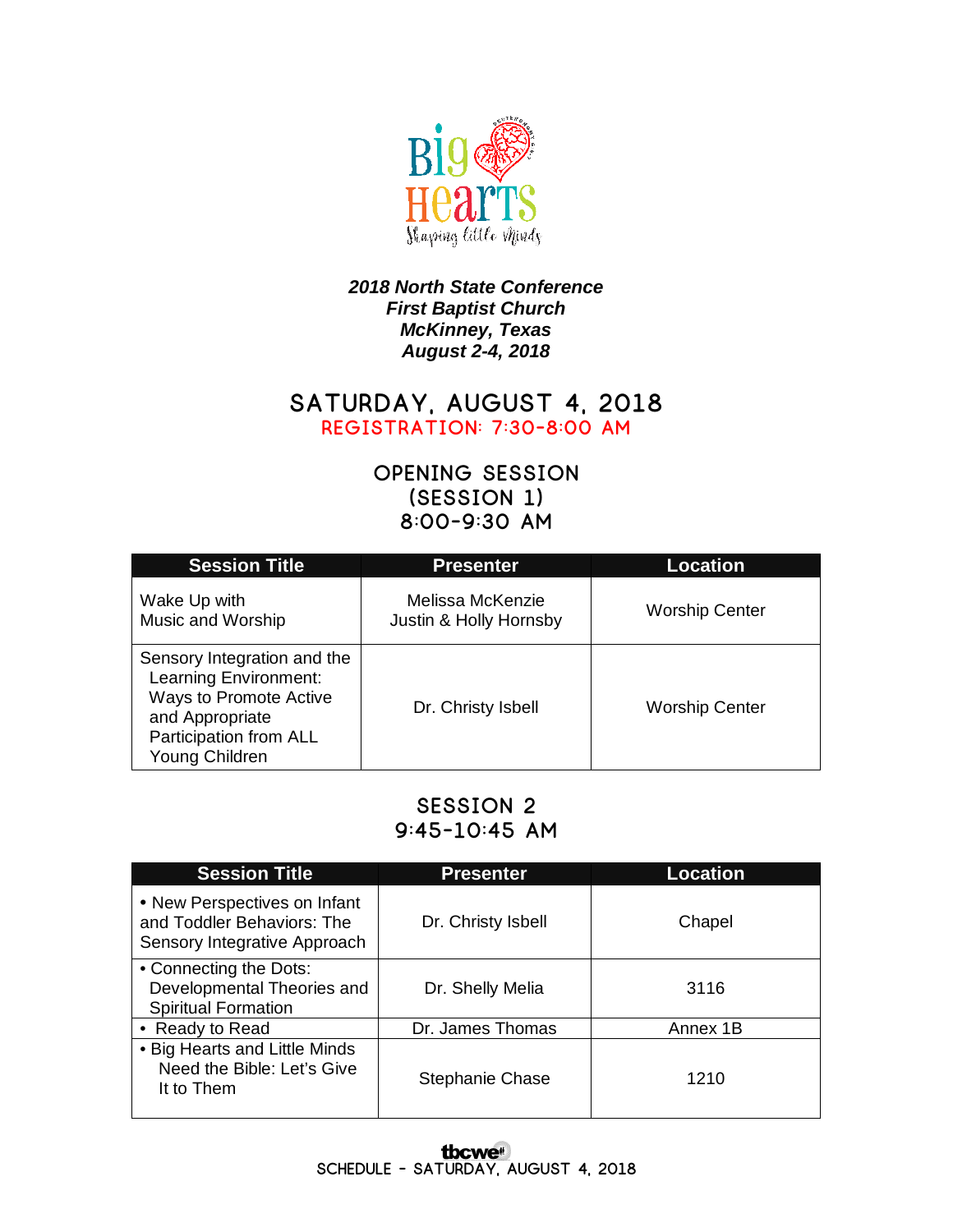

#### *2018 North State Conference First Baptist Church McKinney, Texas August 2-4, 2018*

### **Saturday, August 4, 2018 Registration: 7:30-8:00 am**

## **Opening Session (Session 1) 8:00-9:30 am**

| <b>Session Title</b>                                                                                                                          | <b>Presenter</b>                           | <b>Location</b>       |
|-----------------------------------------------------------------------------------------------------------------------------------------------|--------------------------------------------|-----------------------|
| Wake Up with<br>Music and Worship                                                                                                             | Melissa McKenzie<br>Justin & Holly Hornsby | <b>Worship Center</b> |
| Sensory Integration and the<br>Learning Environment:<br>Ways to Promote Active<br>and Appropriate<br>Participation from ALL<br>Young Children | Dr. Christy Isbell                         | <b>Worship Center</b> |

### **Session 2 9:45-10:45 am**

| <b>Session Title</b>                                                                       | <b>Presenter</b>   | <b>Location</b> |
|--------------------------------------------------------------------------------------------|--------------------|-----------------|
| • New Perspectives on Infant<br>and Toddler Behaviors: The<br>Sensory Integrative Approach | Dr. Christy Isbell | Chapel          |
| • Connecting the Dots:<br>Developmental Theories and<br><b>Spiritual Formation</b>         | Dr. Shelly Melia   | 3116            |
| • Ready to Read                                                                            | Dr. James Thomas   | Annex 1B        |
| • Big Hearts and Little Minds<br>Need the Bible: Let's Give<br>It to Them                  | Stephanie Chase    | 1210            |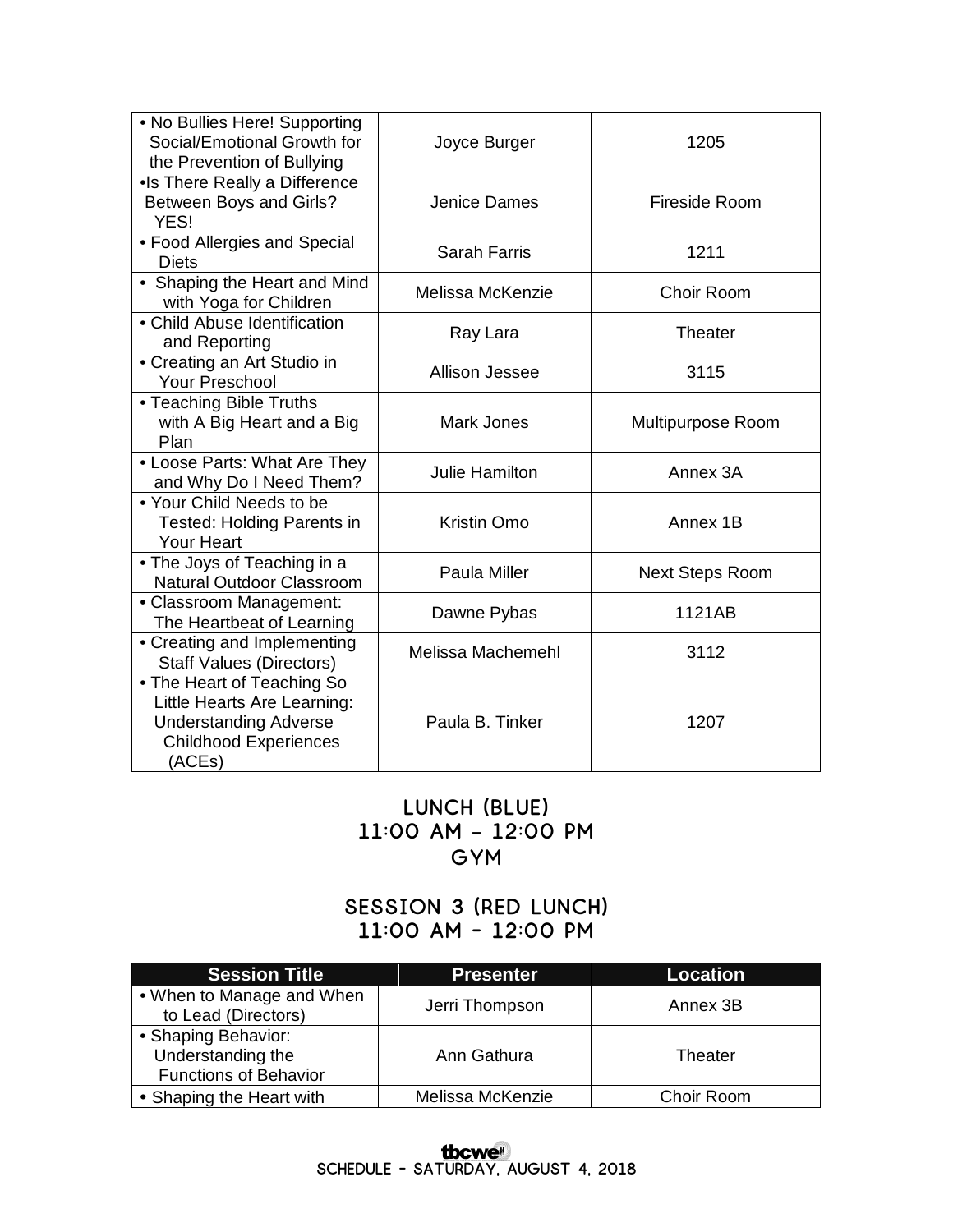| • No Bullies Here! Supporting<br>Social/Emotional Growth for<br>the Prevention of Bullying                                          | Joyce Burger          | 1205                   |
|-------------------------------------------------------------------------------------------------------------------------------------|-----------------------|------------------------|
| •Is There Really a Difference<br>Between Boys and Girls?<br>YES!                                                                    | Jenice Dames          | Fireside Room          |
| • Food Allergies and Special<br><b>Diets</b>                                                                                        | <b>Sarah Farris</b>   | 1211                   |
| • Shaping the Heart and Mind<br>with Yoga for Children                                                                              | Melissa McKenzie      | Choir Room             |
| • Child Abuse Identification<br>and Reporting                                                                                       | Ray Lara              | <b>Theater</b>         |
| • Creating an Art Studio in<br>Your Preschool                                                                                       | Allison Jessee        | 3115                   |
| • Teaching Bible Truths<br>with A Big Heart and a Big<br>Plan                                                                       | Mark Jones            | Multipurpose Room      |
| • Loose Parts: What Are They<br>and Why Do I Need Them?                                                                             | <b>Julie Hamilton</b> | Annex 3A               |
| • Your Child Needs to be<br>Tested: Holding Parents in<br><b>Your Heart</b>                                                         | Kristin Omo           | Annex 1B               |
| • The Joys of Teaching in a<br>Natural Outdoor Classroom                                                                            | Paula Miller          | <b>Next Steps Room</b> |
| • Classroom Management:<br>The Heartbeat of Learning                                                                                | Dawne Pybas           | 1121AB                 |
| • Creating and Implementing<br><b>Staff Values (Directors)</b>                                                                      | Melissa Machemehl     | 3112                   |
| • The Heart of Teaching So<br>Little Hearts Are Learning:<br><b>Understanding Adverse</b><br><b>Childhood Experiences</b><br>(ACEs) | Paula B. Tinker       | 1207                   |

## **Lunch (Blue) 11:00 am – 12:00 pm Gym**

## **Session 3 (Red Lunch) 11:00 am - 12:00 pm**

| <b>Session Title</b>                             | Presenter        | <b>Location</b> |
|--------------------------------------------------|------------------|-----------------|
| • When to Manage and When<br>to Lead (Directors) | Jerri Thompson   | Annex 3B        |
| • Shaping Behavior:<br>Understanding the         | Ann Gathura      | Theater         |
| <b>Functions of Behavior</b>                     |                  |                 |
| • Shaping the Heart with                         | Melissa McKenzie | Choir Room      |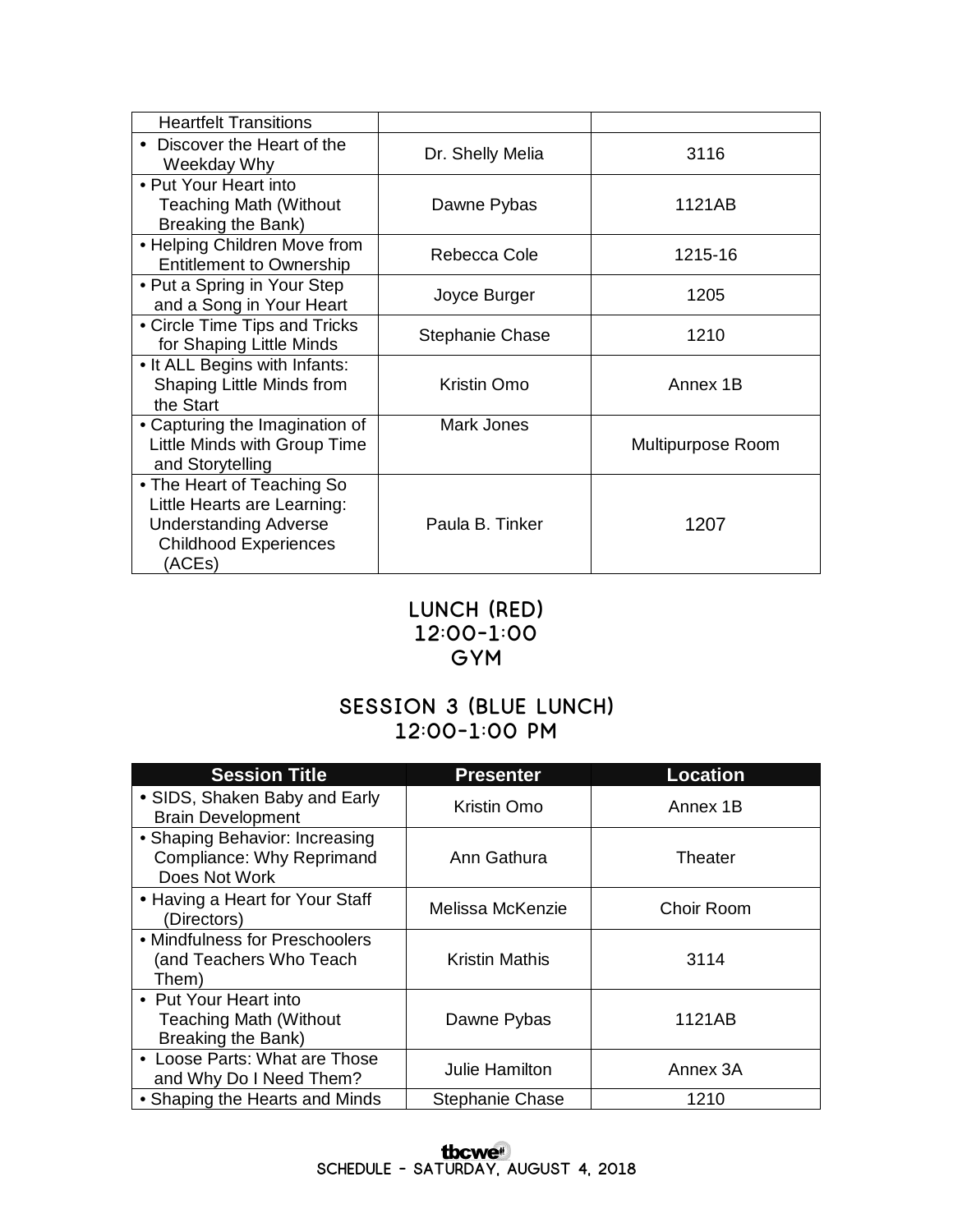| <b>Heartfelt Transitions</b>                                                                                                        |                        |                   |
|-------------------------------------------------------------------------------------------------------------------------------------|------------------------|-------------------|
| Discover the Heart of the<br>$\bullet$<br>Weekday Why                                                                               | Dr. Shelly Melia       | 3116              |
| • Put Your Heart into<br><b>Teaching Math (Without</b><br>Breaking the Bank)                                                        | Dawne Pybas            | 1121AB            |
| • Helping Children Move from<br><b>Entitlement to Ownership</b>                                                                     | Rebecca Cole           | 1215-16           |
| • Put a Spring in Your Step<br>and a Song in Your Heart                                                                             | Joyce Burger           | 1205              |
| • Circle Time Tips and Tricks<br>for Shaping Little Minds                                                                           | <b>Stephanie Chase</b> | 1210              |
| . It ALL Begins with Infants:<br>Shaping Little Minds from<br>the Start                                                             | Kristin Omo            | Annex 1B          |
| • Capturing the Imagination of<br>Little Minds with Group Time<br>and Storytelling                                                  | Mark Jones             | Multipurpose Room |
| • The Heart of Teaching So<br>Little Hearts are Learning:<br><b>Understanding Adverse</b><br><b>Childhood Experiences</b><br>(ACEs) | Paula B. Tinker        | 1207              |

#### **Lunch (Red) 12:00-1:00 Gym**

## **Session 3 (Blue Lunch) 12:00-1:00 pm**

| <b>Session Title</b>                                                         | <b>Presenter</b>      | <b>Location</b> |
|------------------------------------------------------------------------------|-----------------------|-----------------|
| • SIDS, Shaken Baby and Early<br><b>Brain Development</b>                    | Kristin Omo           | Annex 1B        |
| • Shaping Behavior: Increasing<br>Compliance: Why Reprimand<br>Does Not Work | Ann Gathura           | Theater         |
| • Having a Heart for Your Staff<br>(Directors)                               | Melissa McKenzie      | Choir Room      |
| • Mindfulness for Preschoolers<br>(and Teachers Who Teach<br>Them)           | <b>Kristin Mathis</b> | 3114            |
| • Put Your Heart into<br><b>Teaching Math (Without</b><br>Breaking the Bank) | Dawne Pybas           | 1121AB          |
| • Loose Parts: What are Those<br>and Why Do I Need Them?                     | <b>Julie Hamilton</b> | Annex 3A        |
| • Shaping the Hearts and Minds                                               | Stephanie Chase       | 1210            |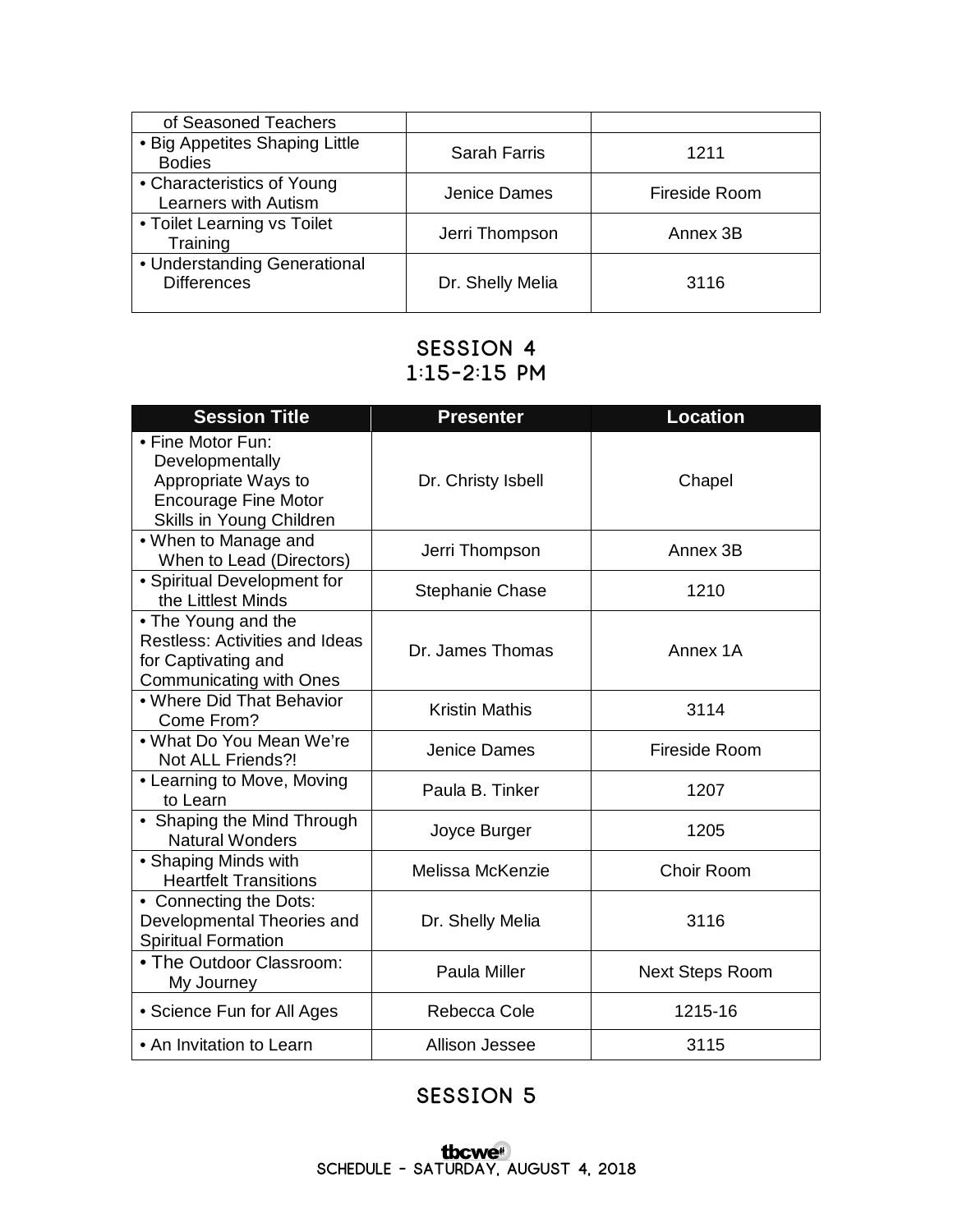| of Seasoned Teachers                               |                     |               |
|----------------------------------------------------|---------------------|---------------|
| • Big Appetites Shaping Little<br><b>Bodies</b>    | <b>Sarah Farris</b> | 1211          |
| • Characteristics of Young<br>Learners with Autism | Jenice Dames        | Fireside Room |
| • Toilet Learning vs Toilet<br>Training            | Jerri Thompson      | Annex 3B      |
| • Understanding Generational<br><b>Differences</b> | Dr. Shelly Melia    | 3116          |

## **Session 4 1:15-2:15 pm**

| <b>Session Title</b>                                                                                                   | <b>Presenter</b>       | <b>Location</b>        |
|------------------------------------------------------------------------------------------------------------------------|------------------------|------------------------|
| • Fine Motor Fun:<br>Developmentally<br>Appropriate Ways to<br><b>Encourage Fine Motor</b><br>Skills in Young Children | Dr. Christy Isbell     | Chapel                 |
| • When to Manage and<br>When to Lead (Directors)                                                                       | Jerri Thompson         | Annex 3B               |
| • Spiritual Development for<br>the Littlest Minds                                                                      | <b>Stephanie Chase</b> | 1210                   |
| • The Young and the<br><b>Restless: Activities and Ideas</b><br>for Captivating and<br><b>Communicating with Ones</b>  | Dr. James Thomas       | Annex 1A               |
| . Where Did That Behavior<br>Come From?                                                                                | <b>Kristin Mathis</b>  | 3114                   |
| . What Do You Mean We're<br>Not ALL Friends?!                                                                          | Jenice Dames           | Fireside Room          |
| • Learning to Move, Moving<br>to Learn                                                                                 | Paula B. Tinker        | 1207                   |
| • Shaping the Mind Through<br><b>Natural Wonders</b>                                                                   | Joyce Burger           | 1205                   |
| • Shaping Minds with<br><b>Heartfelt Transitions</b>                                                                   | Melissa McKenzie       | Choir Room             |
| • Connecting the Dots:<br>Developmental Theories and<br><b>Spiritual Formation</b>                                     | Dr. Shelly Melia       | 3116                   |
| • The Outdoor Classroom:<br>My Journey                                                                                 | <b>Paula Miller</b>    | <b>Next Steps Room</b> |
| • Science Fun for All Ages                                                                                             | Rebecca Cole           | 1215-16                |
| • An Invitation to Learn                                                                                               | Allison Jessee         | 3115                   |

## **Session 5**